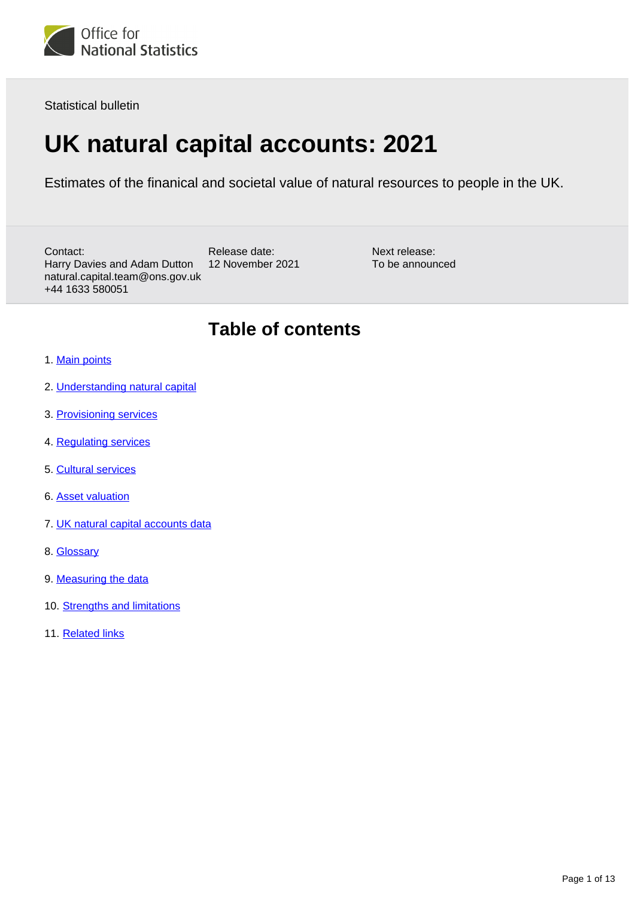

Statistical bulletin

# **UK natural capital accounts: 2021**

Estimates of the finanical and societal value of natural resources to people in the UK.

Contact: Harry Davies and Adam Dutton natural.capital.team@ons.gov.uk +44 1633 580051

Release date: 12 November 2021

Next release: To be announced

## **Table of contents**

- 1. [Main points](#page-1-0)
- 2. [Understanding natural capital](#page-1-1)
- 3. [Provisioning services](#page-1-2)
- 4. [Regulating services](#page-4-0)
- 5. [Cultural services](#page-7-0)
- 6. [Asset valuation](#page-10-0)
- 7. [UK natural capital accounts data](#page-10-1)
- 8. [Glossary](#page-11-0)
- 9. [Measuring the data](#page-11-1)
- 10. [Strengths and limitations](#page-11-2)
- 11. [Related links](#page-12-0)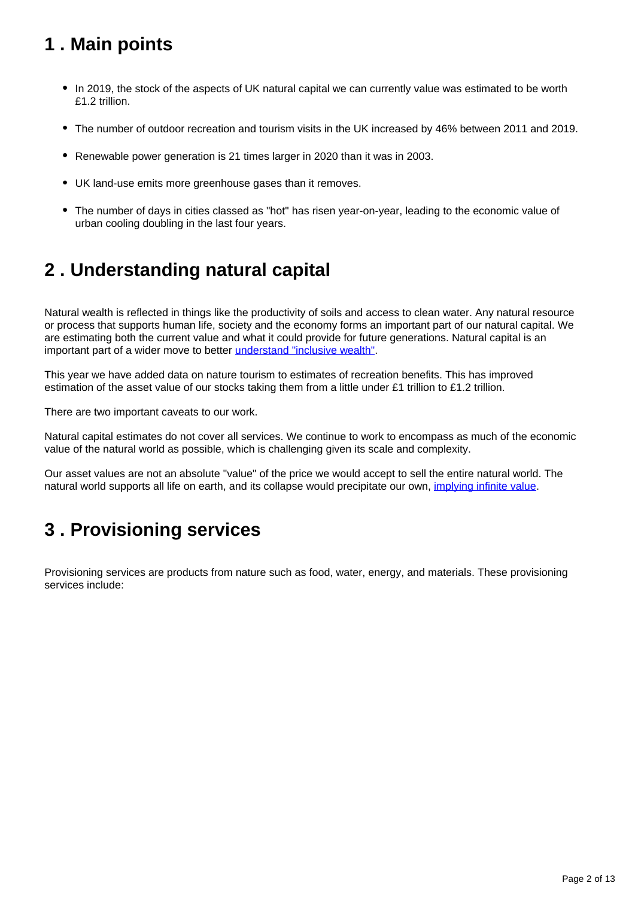## <span id="page-1-0"></span>**1 . Main points**

- In 2019, the stock of the aspects of UK natural capital we can currently value was estimated to be worth £1.2 trillion.
- The number of outdoor recreation and tourism visits in the UK increased by 46% between 2011 and 2019.
- Renewable power generation is 21 times larger in 2020 than it was in 2003.
- UK land-use emits more greenhouse gases than it removes.
- The number of days in cities classed as "hot" has risen year-on-year, leading to the economic value of urban cooling doubling in the last four years.

## <span id="page-1-1"></span>**2 . Understanding natural capital**

Natural wealth is reflected in things like the productivity of soils and access to clean water. Any natural resource or process that supports human life, society and the economy forms an important part of our natural capital. We are estimating both the current value and what it could provide for future generations. Natural capital is an important part of a wider move to better [understand "inclusive wealth".](https://www.gov.uk/government/collections/the-economics-of-biodiversity-the-dasgupta-review)

This year we have added data on nature tourism to estimates of recreation benefits. This has improved estimation of the asset value of our stocks taking them from a little under £1 trillion to £1.2 trillion.

There are two important caveats to our work.

Natural capital estimates do not cover all services. We continue to work to encompass as much of the economic value of the natural world as possible, which is challenging given its scale and complexity.

Our asset values are not an absolute "value" of the price we would accept to sell the entire natural world. The natural world supports all life on earth, and its collapse would precipitate our own, [implying infinite value](https://www.tandfonline.com/doi/abs/10.1080/00139159809605092).

## <span id="page-1-2"></span>**3 . Provisioning services**

Provisioning services are products from nature such as food, water, energy, and materials. These provisioning services include: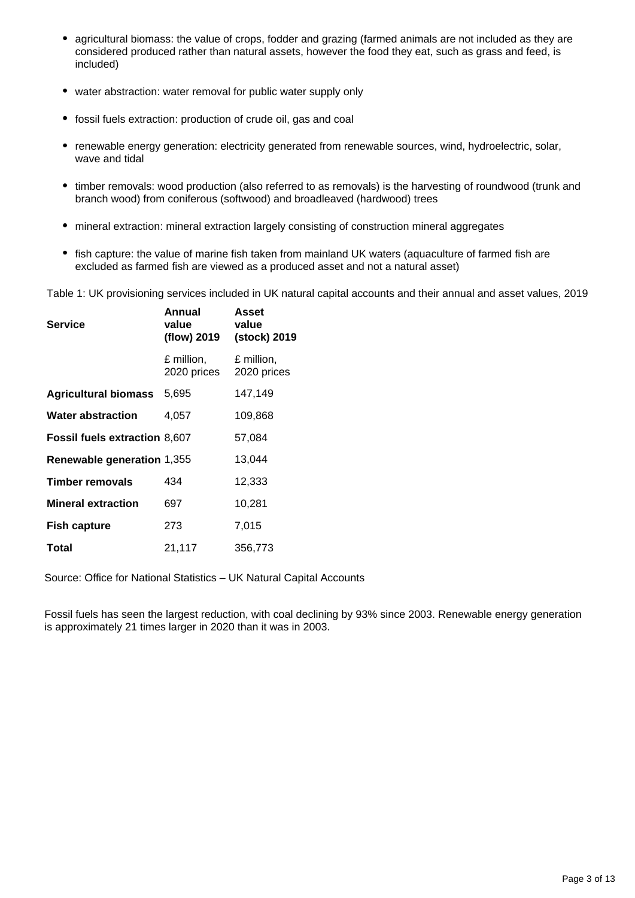- agricultural biomass: the value of crops, fodder and grazing (farmed animals are not included as they are considered produced rather than natural assets, however the food they eat, such as grass and feed, is included)
- water abstraction: water removal for public water supply only
- fossil fuels extraction: production of crude oil, gas and coal
- renewable energy generation: electricity generated from renewable sources, wind, hydroelectric, solar, wave and tidal
- timber removals: wood production (also referred to as removals) is the harvesting of roundwood (trunk and branch wood) from coniferous (softwood) and broadleaved (hardwood) trees
- mineral extraction: mineral extraction largely consisting of construction mineral aggregates
- fish capture: the value of marine fish taken from mainland UK waters (aquaculture of farmed fish are excluded as farmed fish are viewed as a produced asset and not a natural asset)

Table 1: UK provisioning services included in UK natural capital accounts and their annual and asset values, 2019

| Service                              | Annual<br>value<br>(flow) 2019 | Asset<br>value<br>(stock) 2019 |
|--------------------------------------|--------------------------------|--------------------------------|
|                                      | £ million,<br>2020 prices      | £ million,<br>2020 prices      |
| <b>Agricultural biomass</b>          | 5,695                          | 147,149                        |
| <b>Water abstraction</b>             | 4,057                          | 109,868                        |
| <b>Fossil fuels extraction 8,607</b> |                                | 57,084                         |
| Renewable generation 1,355           |                                | 13,044                         |
| <b>Timber removals</b>               | 434                            | 12,333                         |
| <b>Mineral extraction</b>            | 697                            | 10,281                         |
| <b>Fish capture</b>                  | 273                            | 7,015                          |
| Total                                | 21,117                         | 356,773                        |

Source: Office for National Statistics – UK Natural Capital Accounts

Fossil fuels has seen the largest reduction, with coal declining by 93% since 2003. Renewable energy generation is approximately 21 times larger in 2020 than it was in 2003.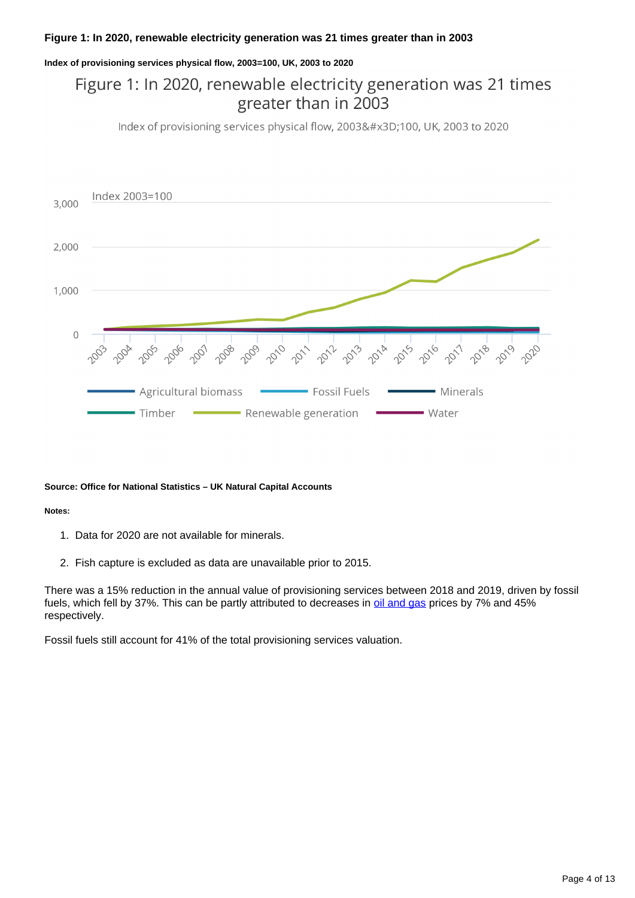### **Figure 1: In 2020, renewable electricity generation was 21 times greater than in 2003**

#### **Index of provisioning services physical flow, 2003=100, UK, 2003 to 2020**

### Figure 1: In 2020, renewable electricity generation was 21 times greater than in 2003

Index of provisioning services physical flow, 2003=100, UK, 2003 to 2020



#### **Source: Office for National Statistics – UK Natural Capital Accounts**

#### **Notes:**

- 1. Data for 2020 are not available for minerals.
- 2. Fish capture is excluded as data are unavailable prior to 2015.

There was a 15% reduction in the annual value of provisioning services between 2018 and 2019, driven by fossil fuels, which fell by 37%. This can be partly attributed to decreases in [oil and gas](https://www.bp.com/en/global/corporate/energy-economics/statistical-review-of-world-energy.html) prices by 7% and 45% respectively.

Fossil fuels still account for 41% of the total provisioning services valuation.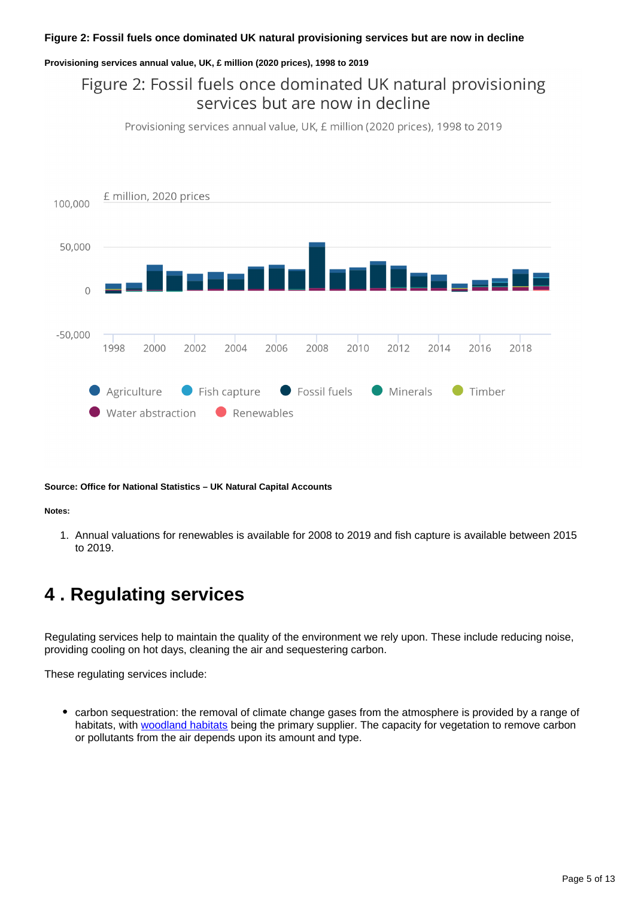### **Figure 2: Fossil fuels once dominated UK natural provisioning services but are now in decline**

#### **Provisioning services annual value, UK, £ million (2020 prices), 1998 to 2019**

### Figure 2: Fossil fuels once dominated UK natural provisioning services but are now in decline

Provisioning services annual value, UK, £ million (2020 prices), 1998 to 2019



**Source: Office for National Statistics – UK Natural Capital Accounts**

#### **Notes:**

1. Annual valuations for renewables is available for 2008 to 2019 and fish capture is available between 2015 to 2019.

## <span id="page-4-0"></span>**4 . Regulating services**

Regulating services help to maintain the quality of the environment we rely upon. These include reducing noise, providing cooling on hot days, cleaning the air and sequestering carbon.

These regulating services include:

• carbon sequestration: the removal of climate change gases from the atmosphere is provided by a range of habitats, with [woodland habitats](https://www.ons.gov.uk/economy/environmentalaccounts/bulletins/woodlandnaturalcapitalaccountsuk/2020) being the primary supplier. The capacity for vegetation to remove carbon or pollutants from the air depends upon its amount and type.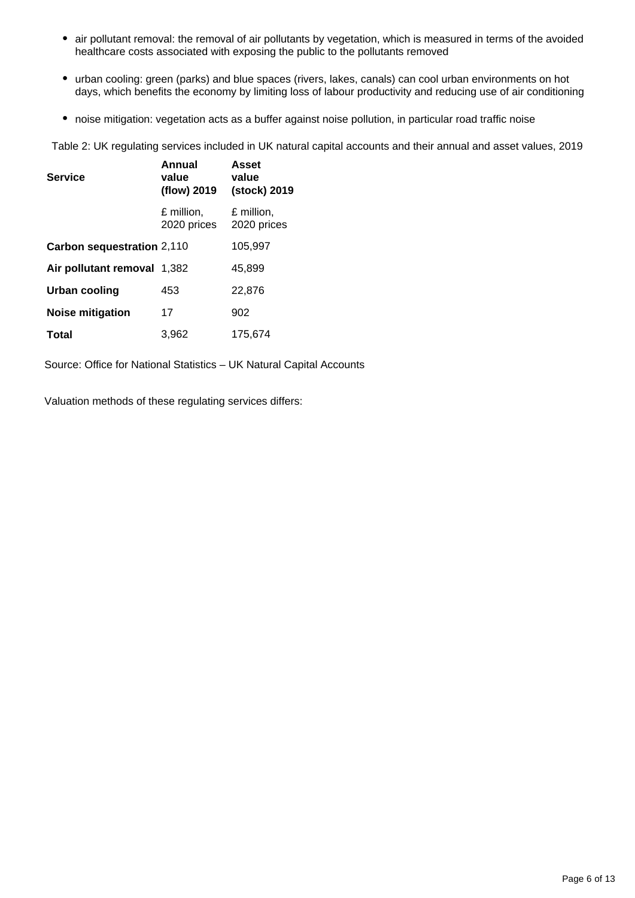- air pollutant removal: the removal of air pollutants by vegetation, which is measured in terms of the avoided healthcare costs associated with exposing the public to the pollutants removed
- urban cooling: green (parks) and blue spaces (rivers, lakes, canals) can cool urban environments on hot days, which benefits the economy by limiting loss of labour productivity and reducing use of air conditioning
- noise mitigation: vegetation acts as a buffer against noise pollution, in particular road traffic noise

Table 2: UK regulating services included in UK natural capital accounts and their annual and asset values, 2019

| <b>Service</b>              | Annual<br>value<br>(flow) 2019 | Asset<br>value<br>(stock) 2019 |
|-----------------------------|--------------------------------|--------------------------------|
|                             | £ million.<br>2020 prices      | £ million,<br>2020 prices      |
| Carbon sequestration 2,110  |                                | 105,997                        |
| Air pollutant removal 1,382 |                                | 45.899                         |
| Urban cooling               | 453                            | 22,876                         |
| Noise mitigation            | 17                             | 902                            |
| Total                       | 3.962                          | 175,674                        |

Source: Office for National Statistics – UK Natural Capital Accounts

Valuation methods of these regulating services differs: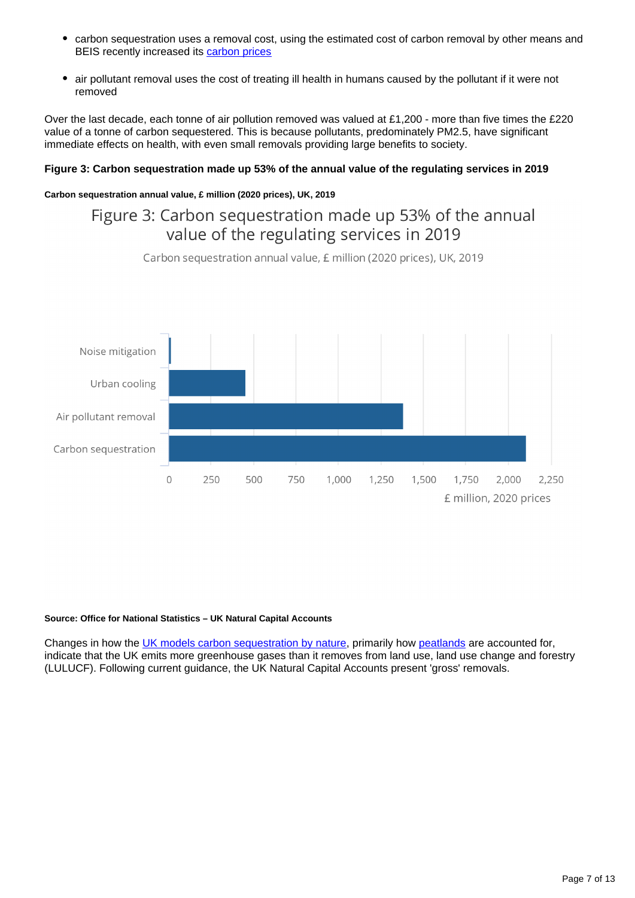- $\bullet$ carbon sequestration uses a removal cost, using the estimated cost of carbon removal by other means and BEIS recently increased its [carbon prices](https://www.gov.uk/government/publications/valuing-greenhouse-gas-emissions-in-policy-appraisal)
- air pollutant removal uses the cost of treating ill health in humans caused by the pollutant if it were not removed

Over the last decade, each tonne of air pollution removed was valued at £1,200 - more than five times the £220 value of a tonne of carbon sequestered. This is because pollutants, predominately PM2.5, have significant immediate effects on health, with even small removals providing large benefits to society.

### **Figure 3: Carbon sequestration made up 53% of the annual value of the regulating services in 2019**

### **Carbon sequestration annual value, £ million (2020 prices), UK, 2019**

### Figure 3: Carbon sequestration made up 53% of the annual value of the regulating services in 2019

Carbon sequestration annual value, £ million (2020 prices), UK, 2019



#### **Source: Office for National Statistics – UK Natural Capital Accounts**

Changes in how the [UK models carbon sequestration by nature,](https://assets.publishing.service.gov.uk/government/uploads/system/uploads/attachment_data/file/996062/lulucf-local-authority-mapping-report-2019.pdf) primarily how [peatlands](https://www.ons.gov.uk/economy/environmentalaccounts/bulletins/uknaturalcapitalforpeatlands/naturalcapitalaccounts) are accounted for, indicate that the UK emits more greenhouse gases than it removes from land use, land use change and forestry (LULUCF). Following current guidance, the UK Natural Capital Accounts present 'gross' removals.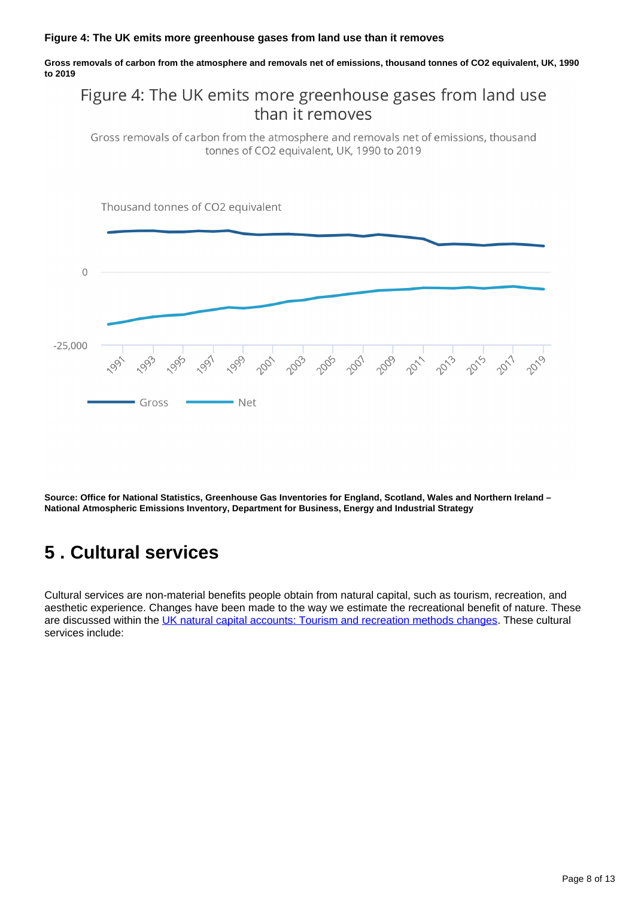#### **Figure 4: The UK emits more greenhouse gases from land use than it removes**

**Gross removals of carbon from the atmosphere and removals net of emissions, thousand tonnes of CO2 equivalent, UK, 1990 to 2019**

### Figure 4: The UK emits more greenhouse gases from land use than it removes

Gross removals of carbon from the atmosphere and removals net of emissions, thousand tonnes of CO2 equivalent, UK, 1990 to 2019



**Source: Office for National Statistics, Greenhouse Gas Inventories for England, Scotland, Wales and Northern Ireland – National Atmospheric Emissions Inventory, Department for Business, Energy and Industrial Strategy**

## <span id="page-7-0"></span>**5 . Cultural services**

Cultural services are non-material benefits people obtain from natural capital, such as tourism, recreation, and aesthetic experience. Changes have been made to the way we estimate the recreational benefit of nature. These are discussed within the [UK natural capital accounts: Tourism and recreation methods changes.](https://www.ons.gov.uk/economy/environmentalaccounts/methodologies/uknaturalcapitalaccountstourismandrecreationmethodchanges) These cultural services include: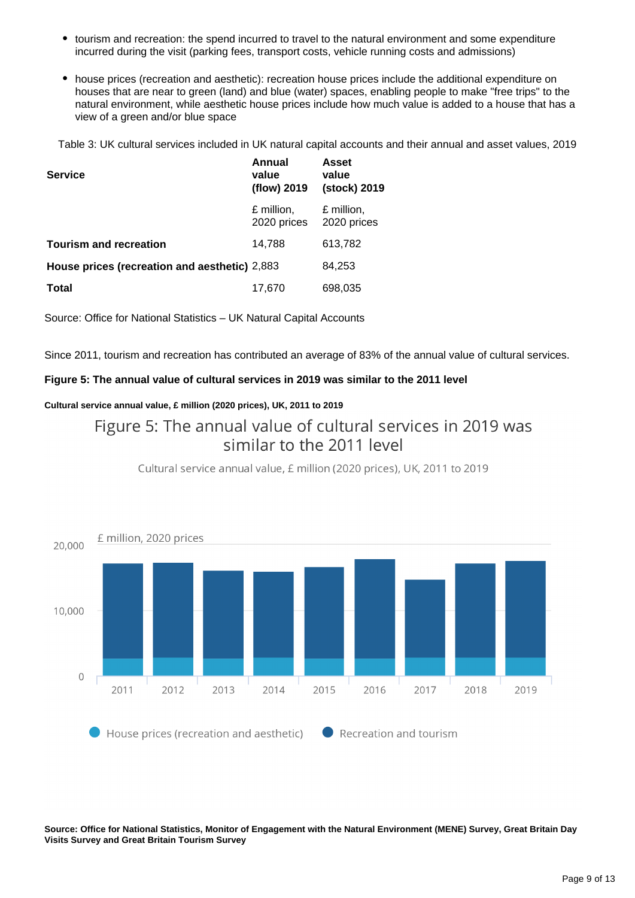- $\bullet$ tourism and recreation: the spend incurred to travel to the natural environment and some expenditure incurred during the visit (parking fees, transport costs, vehicle running costs and admissions)
- house prices (recreation and aesthetic): recreation house prices include the additional expenditure on houses that are near to green (land) and blue (water) spaces, enabling people to make "free trips" to the natural environment, while aesthetic house prices include how much value is added to a house that has a view of a green and/or blue space

Table 3: UK cultural services included in UK natural capital accounts and their annual and asset values, 2019

| <b>Service</b>                                | Annual<br>value<br>(flow) 2019 | <b>Asset</b><br>value<br>(stock) 2019 |
|-----------------------------------------------|--------------------------------|---------------------------------------|
|                                               | £ million,<br>2020 prices      | £ million,<br>2020 prices             |
| <b>Tourism and recreation</b>                 | 14,788                         | 613,782                               |
| House prices (recreation and aesthetic) 2,883 |                                | 84,253                                |
| <b>Total</b>                                  | 17,670                         | 698,035                               |

Source: Office for National Statistics – UK Natural Capital Accounts

Since 2011, tourism and recreation has contributed an average of 83% of the annual value of cultural services.

### **Figure 5: The annual value of cultural services in 2019 was similar to the 2011 level**

### **Cultural service annual value, £ million (2020 prices), UK, 2011 to 2019**

### Figure 5: The annual value of cultural services in 2019 was similar to the 2011 level



Cultural service annual value, £ million (2020 prices), UK, 2011 to 2019

**Source: Office for National Statistics, Monitor of Engagement with the Natural Environment (MENE) Survey, Great Britain Day Visits Survey and Great Britain Tourism Survey**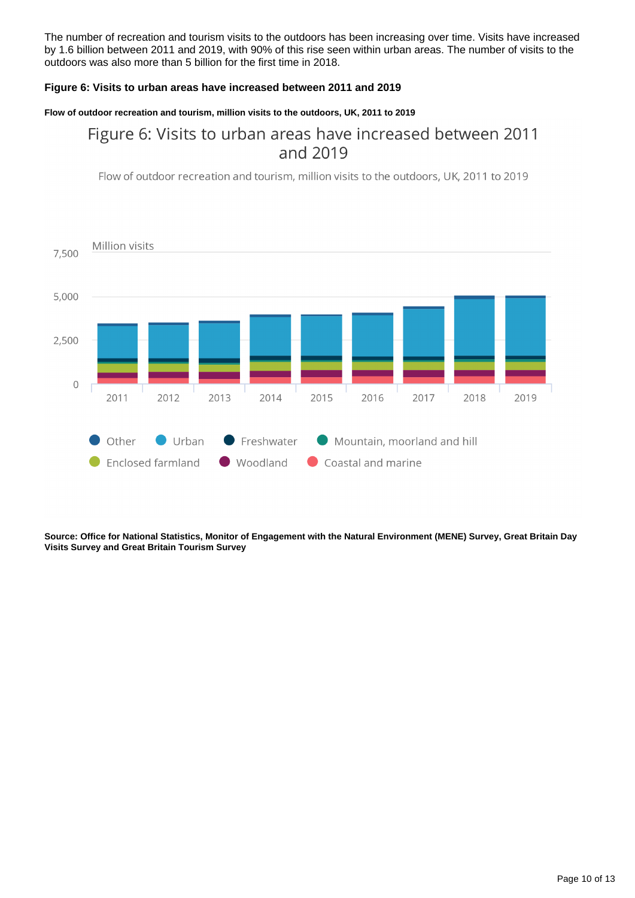The number of recreation and tourism visits to the outdoors has been increasing over time. Visits have increased by 1.6 billion between 2011 and 2019, with 90% of this rise seen within urban areas. The number of visits to the outdoors was also more than 5 billion for the first time in 2018.

### **Figure 6: Visits to urban areas have increased between 2011 and 2019**

### **Flow of outdoor recreation and tourism, million visits to the outdoors, UK, 2011 to 2019**

### Figure 6: Visits to urban areas have increased between 2011 and 2019

Flow of outdoor recreation and tourism, million visits to the outdoors, UK, 2011 to 2019



**Source: Office for National Statistics, Monitor of Engagement with the Natural Environment (MENE) Survey, Great Britain Day Visits Survey and Great Britain Tourism Survey**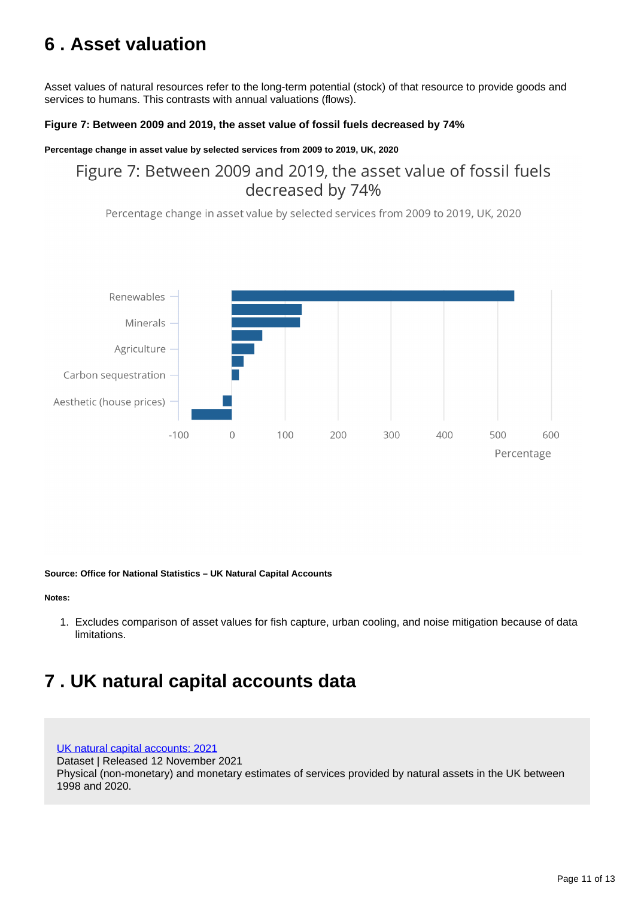## <span id="page-10-0"></span>**6 . Asset valuation**

Asset values of natural resources refer to the long-term potential (stock) of that resource to provide goods and services to humans. This contrasts with annual valuations (flows).

### **Figure 7: Between 2009 and 2019, the asset value of fossil fuels decreased by 74%**

### **Percentage change in asset value by selected services from 2009 to 2019, UK, 2020**

### Figure 7: Between 2009 and 2019, the asset value of fossil fuels decreased by 74%

Percentage change in asset value by selected services from 2009 to 2019, UK, 2020



#### **Source: Office for National Statistics – UK Natural Capital Accounts**

**Notes:**

1. Excludes comparison of asset values for fish capture, urban cooling, and noise mitigation because of data limitations.

## <span id="page-10-1"></span>**7 . UK natural capital accounts data**

[UK natural capital accounts: 2021](https://www.ons.gov.uk/economy/environmentalaccounts/bulletins/uknaturalcapitalaccounts/2021/relateddata)

Dataset | Released 12 November 2021

Physical (non-monetary) and monetary estimates of services provided by natural assets in the UK between 1998 and 2020.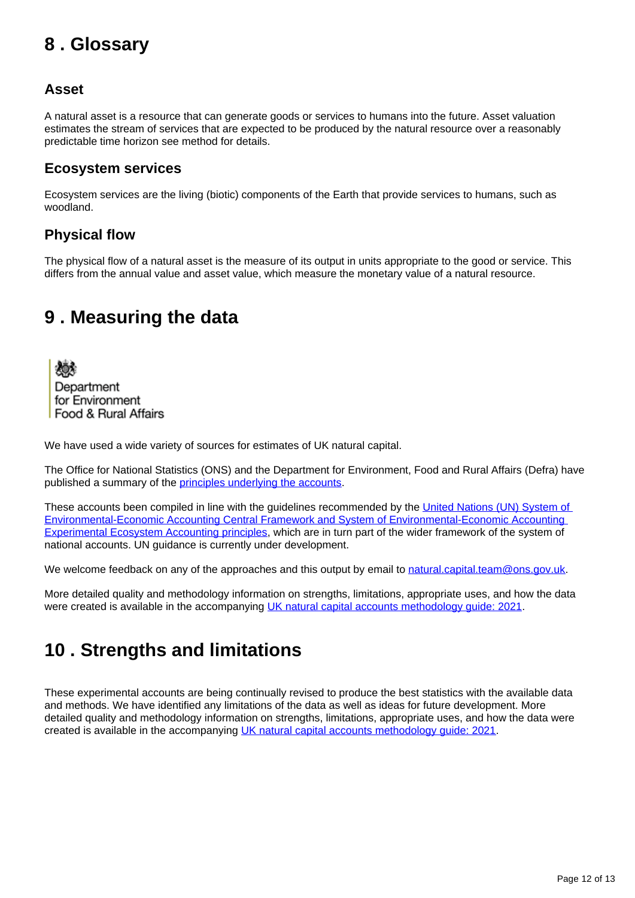## <span id="page-11-0"></span>**8 . Glossary**

### **Asset**

A natural asset is a resource that can generate goods or services to humans into the future. Asset valuation estimates the stream of services that are expected to be produced by the natural resource over a reasonably predictable time horizon see method for details.

### **Ecosystem services**

Ecosystem services are the living (biotic) components of the Earth that provide services to humans, such as woodland.

### **Physical flow**

The physical flow of a natural asset is the measure of its output in units appropriate to the good or service. This differs from the annual value and asset value, which measure the monetary value of a natural resource.

## <span id="page-11-1"></span>**9 . Measuring the data**

Department for Environment Food & Rural Affairs

We have used a wide variety of sources for estimates of UK natural capital.

The Office for National Statistics (ONS) and the Department for Environment, Food and Rural Affairs (Defra) have published a summary of the **principles underlying the accounts**.

These accounts been compiled in line with the guidelines recommended by the United Nations (UN) System of [Environmental-Economic Accounting Central Framework and System of Environmental-Economic Accounting](https://seea.un.org/ecosystem-accounting)  [Experimental Ecosystem Accounting principles,](https://seea.un.org/ecosystem-accounting) which are in turn part of the wider framework of the system of national accounts. UN guidance is currently under development.

We welcome feedback on any of the approaches and this output by email to [natural.capital.team@ons.gov.uk](mailto:natural.capital.team@ons.gov.uk).

More detailed quality and methodology information on strengths, limitations, appropriate uses, and how the data were created is available in the accompanying [UK natural capital accounts methodology guide: 2021.](https://www.ons.gov.uk/economy/environmentalaccounts/methodologies/uknaturalcapitalaccountsmethodologyguide2021)

## <span id="page-11-2"></span>**10 . Strengths and limitations**

These experimental accounts are being continually revised to produce the best statistics with the available data and methods. We have identified any limitations of the data as well as ideas for future development. More detailed quality and methodology information on strengths, limitations, appropriate uses, and how the data were created is available in the accompanying [UK natural capital accounts methodology guide: 2021](https://www.ons.gov.uk/economy/environmentalaccounts/methodologies/uknaturalcapitalaccountsmethodologyguide2021).